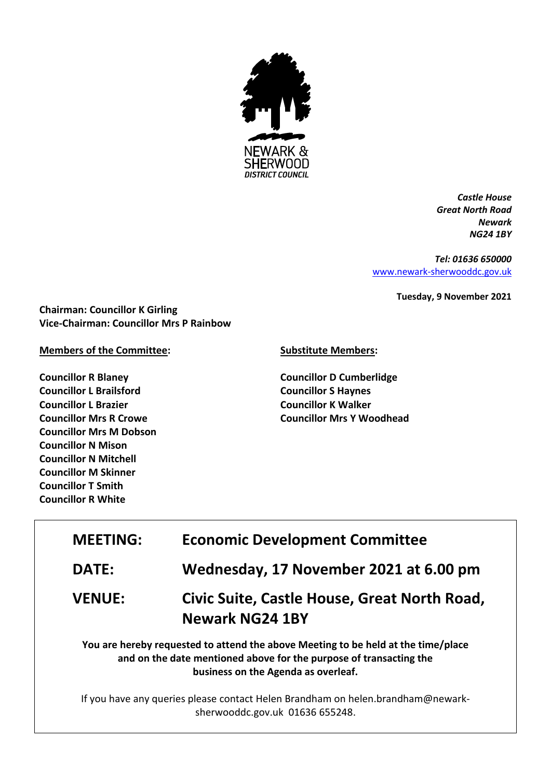

*Castle House Great North Road Newark NG24 1BY*

*Tel: 01636 650000* [www.newark-sherwooddc.gov.uk](http://www.newark-sherwooddc.gov.uk/)

**Tuesday, 9 November 2021**

**Chairman: Councillor K Girling Vice-Chairman: Councillor Mrs P Rainbow**

**Members of the Committee:**

**Councillor R Blaney Councillor L Brailsford Councillor L Brazier Councillor Mrs R Crowe Councillor Mrs M Dobson Councillor N Mison Councillor N Mitchell Councillor M Skinner Councillor T Smith Councillor R White**

## **Substitute Members:**

**Councillor D Cumberlidge Councillor S Haynes Councillor K Walker Councillor Mrs Y Woodhead**

| <b>MEETING:</b> | <b>Economic Development Committee</b>                                                                                                                                                          |
|-----------------|------------------------------------------------------------------------------------------------------------------------------------------------------------------------------------------------|
| <b>DATE:</b>    | Wednesday, 17 November 2021 at 6.00 pm                                                                                                                                                         |
| <b>VENUE:</b>   | Civic Suite, Castle House, Great North Road,<br><b>Newark NG24 1BY</b>                                                                                                                         |
|                 | You are hereby requested to attend the above Meeting to be held at the time/place<br>and on the date mentioned above for the purpose of transacting the<br>business on the Agenda as overleaf. |

If you have any queries please contact Helen Brandham on helen.brandham@newarksherwooddc.gov.uk 01636 655248.